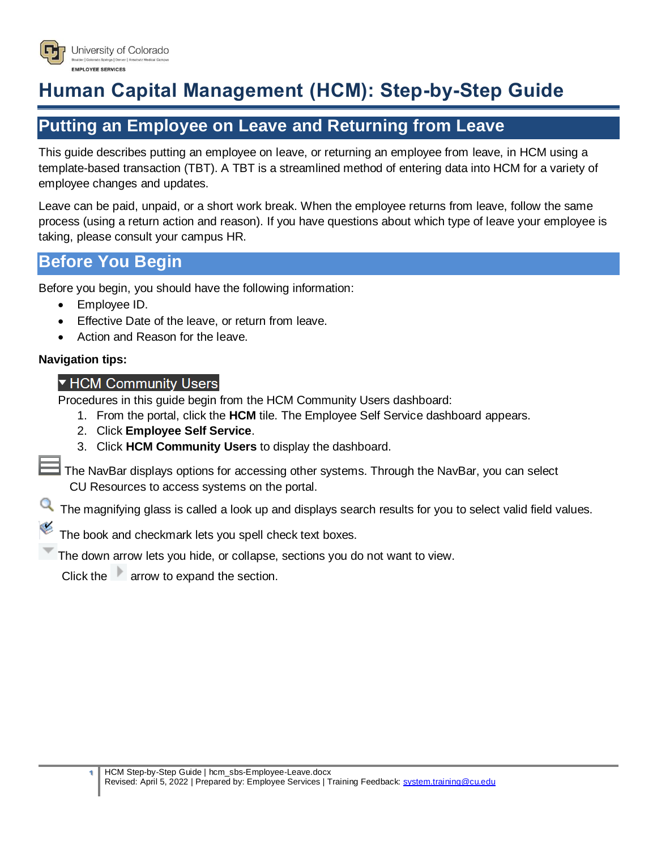

# **Human Capital Management (HCM): Step-by-Step Guide**

## **Putting an Employee on Leave and Returning from Leave**

This guide describes putting an employee on leave, or returning an employee from leave, in HCM using a template-based transaction (TBT). A TBT is a streamlined method of entering data into HCM for a variety of employee changes and updates.

Leave can be paid, unpaid, or a short work break. When the employee returns from leave, follow the same process (using a return action and reason). If you have questions about which type of leave your employee is taking, please consult your campus HR.

## **Before You Begin**

Before you begin, you should have the following information:

- Employee ID.
- **Effective Date of the leave, or return from leave.**
- Action and Reason for the leave.

#### **Navigation tips:**

### ▼ HCM Community Users

Procedures in this guide begin from the HCM Community Users dashboard:

- 1. From the portal, click the **HCM** tile. The Employee Self Service dashboard appears.
- 2. Click **Employee Self Service**.
- 3. Click **HCM Community Users** to display the dashboard.

The NavBar displays options for accessing other systems. Through the NavBar, you can select CU Resources to access systems on the portal.

The magnifying glass is called a look up and displays search results for you to select valid field values.

The book and checkmark lets you spell check text boxes.

The down arrow lets you hide, or collapse, sections you do not want to view.

Click the arrow to expand the section.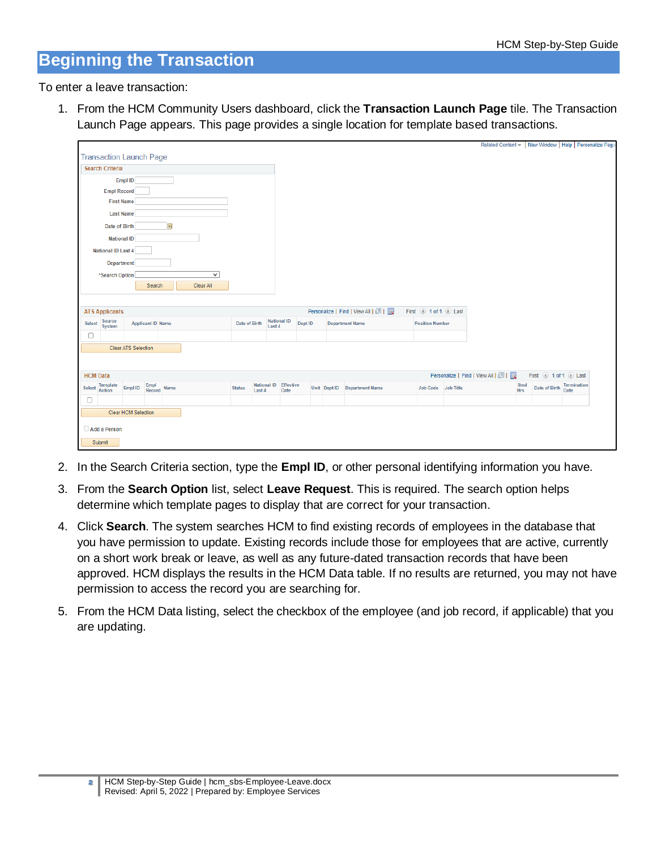## **Beginning the Transaction**

To enter a leave transaction:

1. From the HCM Community Users dashboard, click the **Transaction Launch Page** tile. The Transaction Launch Page appears. This page provides a single location for template based transactions.

|                                                                         |                                |                            |                     |  |              |                         |                       |                                                                                   |  |  |                                   |                     |  |                               |             |                           | Related Content - New Window   Help   Personalize Page |
|-------------------------------------------------------------------------|--------------------------------|----------------------------|---------------------|--|--------------|-------------------------|-----------------------|-----------------------------------------------------------------------------------|--|--|-----------------------------------|---------------------|--|-------------------------------|-------------|---------------------------|--------------------------------------------------------|
|                                                                         | <b>Transaction Launch Page</b> |                            |                     |  |              |                         |                       |                                                                                   |  |  |                                   |                     |  |                               |             |                           |                                                        |
| <b>Search Criteria</b>                                                  |                                |                            |                     |  |              |                         |                       |                                                                                   |  |  |                                   |                     |  |                               |             |                           |                                                        |
| Empl ID                                                                 |                                |                            |                     |  |              |                         |                       |                                                                                   |  |  |                                   |                     |  |                               |             |                           |                                                        |
|                                                                         | <b>Empl Record</b>             |                            |                     |  |              |                         |                       |                                                                                   |  |  |                                   |                     |  |                               |             |                           |                                                        |
| <b>First Name</b>                                                       |                                |                            |                     |  |              |                         |                       |                                                                                   |  |  |                                   |                     |  |                               |             |                           |                                                        |
|                                                                         | <b>Last Name</b>               |                            |                     |  |              |                         |                       |                                                                                   |  |  |                                   |                     |  |                               |             |                           |                                                        |
| $\overline{31}$<br>Date of Birth                                        |                                |                            |                     |  |              |                         |                       |                                                                                   |  |  |                                   |                     |  |                               |             |                           |                                                        |
| <b>National ID</b>                                                      |                                |                            |                     |  |              |                         |                       |                                                                                   |  |  |                                   |                     |  |                               |             |                           |                                                        |
| National ID Last 4                                                      |                                |                            |                     |  |              |                         |                       |                                                                                   |  |  |                                   |                     |  |                               |             |                           |                                                        |
|                                                                         | Department                     |                            |                     |  |              |                         |                       |                                                                                   |  |  |                                   |                     |  |                               |             |                           |                                                        |
|                                                                         | *Search Option                 |                            |                     |  | $\checkmark$ |                         |                       |                                                                                   |  |  |                                   |                     |  |                               |             |                           |                                                        |
|                                                                         |                                |                            | Search              |  | Clear All    |                         |                       |                                                                                   |  |  |                                   |                     |  |                               |             |                           |                                                        |
|                                                                         |                                |                            |                     |  |              |                         |                       |                                                                                   |  |  |                                   |                     |  |                               |             |                           |                                                        |
|                                                                         | <b>ATS Applicants</b>          |                            |                     |  |              |                         |                       |                                                                                   |  |  | Personalize   Find   View All   2 | First 1 of 1 2 Last |  |                               |             |                           |                                                        |
| Source<br>System<br>Select<br><b>Applicant ID Name</b><br>Date of Birth |                                |                            |                     |  |              |                         |                       | <b>National ID</b><br>Dept ID<br><b>Department Name</b><br><b>Position Number</b> |  |  |                                   |                     |  |                               |             |                           |                                                        |
| 0                                                                       |                                |                            |                     |  |              |                         | Last 4                |                                                                                   |  |  |                                   |                     |  |                               |             |                           |                                                        |
|                                                                         |                                |                            |                     |  |              |                         |                       |                                                                                   |  |  |                                   |                     |  |                               |             |                           |                                                        |
|                                                                         |                                | <b>Clear ATS Selection</b> |                     |  |              |                         |                       |                                                                                   |  |  |                                   |                     |  |                               |             |                           |                                                        |
|                                                                         |                                |                            |                     |  |              |                         |                       |                                                                                   |  |  |                                   |                     |  |                               |             |                           |                                                        |
| <b>HCM Data</b>                                                         |                                |                            |                     |  |              |                         |                       |                                                                                   |  |  |                                   |                     |  | Personalize   Find   View All |             | First 1 of 1 2 Last       |                                                        |
| Select                                                                  | <b>Template</b><br>Action      | Empl ID                    | Empl<br>Record Name |  |              | <b>Status</b><br>Last 4 | National ID Effective | Date                                                                              |  |  | Unit Dept ID Department Name      | Job Code Job Title  |  |                               | Stnd<br>Hrs | Date of Birth Termination |                                                        |
| $\Box$                                                                  |                                |                            |                     |  |              |                         |                       |                                                                                   |  |  |                                   |                     |  |                               |             |                           |                                                        |
|                                                                         |                                | <b>Clear HCM Selection</b> |                     |  |              |                         |                       |                                                                                   |  |  |                                   |                     |  |                               |             |                           |                                                        |
|                                                                         |                                |                            |                     |  |              |                         |                       |                                                                                   |  |  |                                   |                     |  |                               |             |                           |                                                        |
|                                                                         | Add a Person                   |                            |                     |  |              |                         |                       |                                                                                   |  |  |                                   |                     |  |                               |             |                           |                                                        |
| Submit                                                                  |                                |                            |                     |  |              |                         |                       |                                                                                   |  |  |                                   |                     |  |                               |             |                           |                                                        |

- 2. In the Search Criteria section, type the **Empl ID**, or other personal identifying information you have.
- 3. From the **Search Option** list, select **Leave Request**. This is required. The search option helps determine which template pages to display that are correct for your transaction.
- 4. Click **Search**. The system searches HCM to find existing records of employees in the database that you have permission to update. Existing records include those for employees that are active, currently on a short work break or leave, as well as any future-dated transaction records that have been approved. HCM displays the results in the HCM Data table. If no results are returned, you may not have permission to access the record you are searching for.
- 5. From the HCM Data listing, select the checkbox of the employee (and job record, if applicable) that you are updating.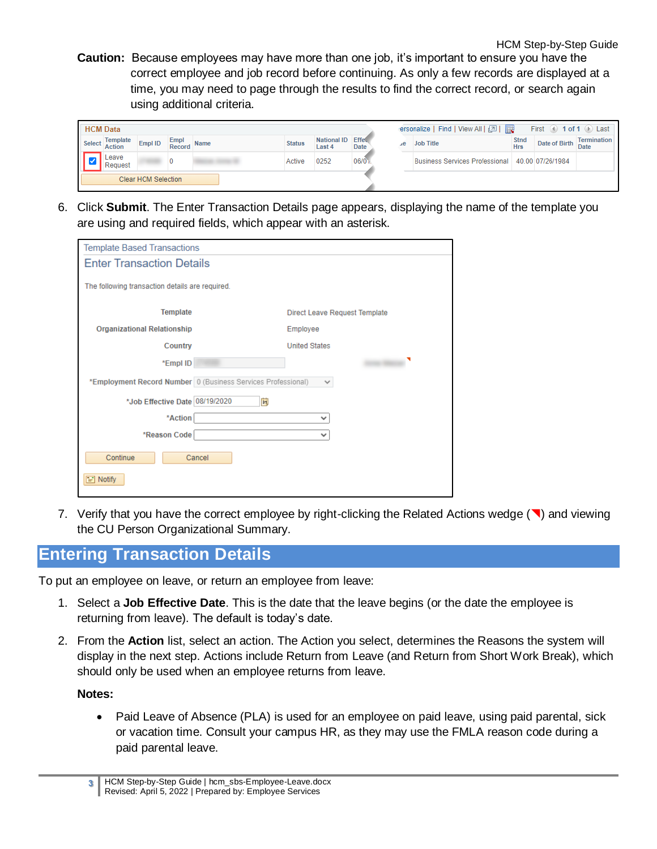HCM Step-by-Step Guide **Caution:** Because employees may have more than one job, it's important to ensure you have the correct employee and job record before continuing. As only a few records are displayed at a time, you may need to page through the results to find the correct record, or search again using additional criteria.

| <b>HCM Data</b>     |                    |         |                       |             |  |               |                              |             | ersonalize   Find   View All   [기              <br>First $\Box$ 1 of 1 $\Box$ Last |                                                 |                           |               |                            |  |
|---------------------|--------------------|---------|-----------------------|-------------|--|---------------|------------------------------|-------------|------------------------------------------------------------------------------------|-------------------------------------------------|---------------------------|---------------|----------------------------|--|
| Select              | Template<br>Action | Empl ID | Empl<br><b>Record</b> | <b>Name</b> |  | <b>Status</b> | National ID Effect<br>Last 4 | <b>Date</b> | $\mathcal{A}$ e                                                                    | <b>Job Title</b>                                | <b>Stnd</b><br><b>Hrs</b> | Date of Birth | Termination<br><b>Date</b> |  |
|                     | eave<br>Request    |         |                       |             |  | Active        | 0252                         | 06/0        |                                                                                    | Business Services Professional 40.00 07/26/1984 |                           |               |                            |  |
| Clear HCM Selection |                    |         |                       |             |  |               |                              |             |                                                                                    |                                                 |                           |               |                            |  |

6. Click **Submit**. The Enter Transaction Details page appears, displaying the name of the template you are using and required fields, which appear with an asterisk.

| <b>Template Based Transactions</b>                           |                                      |  |  |  |  |  |  |  |  |  |
|--------------------------------------------------------------|--------------------------------------|--|--|--|--|--|--|--|--|--|
| <b>Enter Transaction Details</b>                             |                                      |  |  |  |  |  |  |  |  |  |
| The following transaction details are required.              |                                      |  |  |  |  |  |  |  |  |  |
| <b>Template</b>                                              | <b>Direct Leave Request Template</b> |  |  |  |  |  |  |  |  |  |
| <b>Organizational Relationship</b>                           | Employee                             |  |  |  |  |  |  |  |  |  |
| Country                                                      | <b>United States</b>                 |  |  |  |  |  |  |  |  |  |
| *Empl ID                                                     |                                      |  |  |  |  |  |  |  |  |  |
| *Employment Record Number 0 (Business Services Professional) | v                                    |  |  |  |  |  |  |  |  |  |
| *Job Effective Date 08/19/2020<br>Ħ                          |                                      |  |  |  |  |  |  |  |  |  |
| *Action                                                      | $\checkmark$                         |  |  |  |  |  |  |  |  |  |
| *Reason Code                                                 | $\checkmark$                         |  |  |  |  |  |  |  |  |  |
| Continue<br>Cancel                                           |                                      |  |  |  |  |  |  |  |  |  |
| Notify                                                       |                                      |  |  |  |  |  |  |  |  |  |

7. Verify that you have the correct employee by right-clicking the Related Actions wedge  $(\blacksquare)$  and viewing the CU Person Organizational Summary.

## **Entering Transaction Details**

To put an employee on leave, or return an employee from leave:

- 1. Select a **Job Effective Date**. This is the date that the leave begins (or the date the employee is returning from leave). The default is today's date.
- 2. From the **Action** list, select an action. The Action you select, determines the Reasons the system will display in the next step. Actions include Return from Leave (and Return from Short Work Break), which should only be used when an employee returns from leave.

#### **Notes:**

• Paid Leave of Absence (PLA) is used for an employee on paid leave, using paid parental, sick or vacation time. Consult your campus HR, as they may use the FMLA reason code during a paid parental leave.